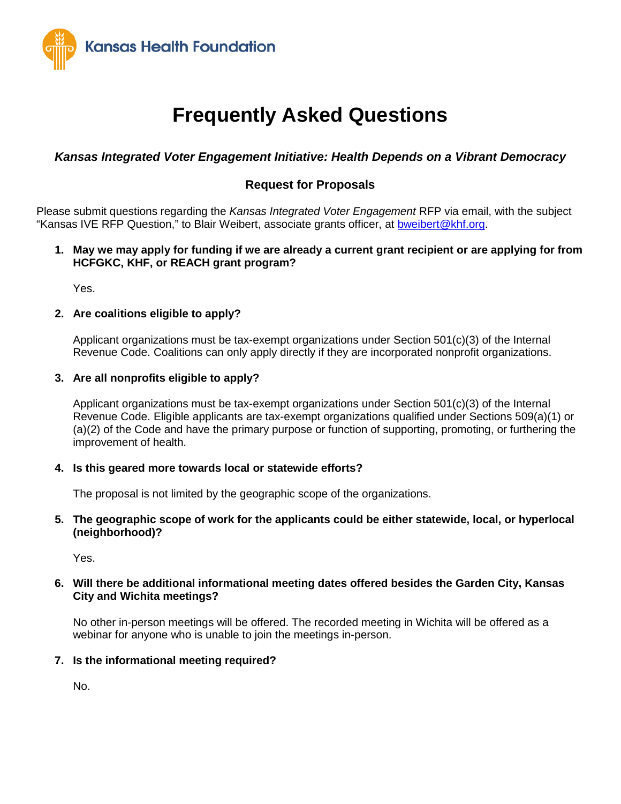

# **Frequently Asked Questions**

# *Kansas Integrated Voter Engagement Initiative: Health Depends on a Vibrant Democracy*

# **Request for Proposals**

Please submit questions regarding the *Kansas Integrated Voter Engagement* RFP via email, with the subject "Kansas IVE RFP Question," to Blair Weibert, associate grants officer, at [bweibert@khf.org.](mailto:bweibert@khf.org)

# **1. May we may apply for funding if we are already a current grant recipient or are applying for from HCFGKC, KHF, or REACH grant program?**

Yes.

# **2. Are coalitions eligible to apply?**

Applicant organizations must be tax-exempt organizations under Section 501(c)(3) of the Internal Revenue Code. Coalitions can only apply directly if they are incorporated nonprofit organizations.

# **3. Are all nonprofits eligible to apply?**

Applicant organizations must be tax-exempt organizations under Section 501(c)(3) of the Internal Revenue Code. Eligible applicants are tax-exempt organizations qualified under Sections 509(a)(1) or (a)(2) of the Code and have the primary purpose or function of supporting, promoting, or furthering the improvement of health.

# **4. Is this geared more towards local or statewide efforts?**

The proposal is not limited by the geographic scope of the organizations.

### **5. The geographic scope of work for the applicants could be either statewide, local, or hyperlocal (neighborhood)?**

Yes.

### **6. Will there be additional informational meeting dates offered besides the Garden City, Kansas City and Wichita meetings?**

No other in-person meetings will be offered. The recorded meeting in Wichita will be offered as a webinar for anyone who is unable to join the meetings in-person.

# **7. Is the informational meeting required?**

No.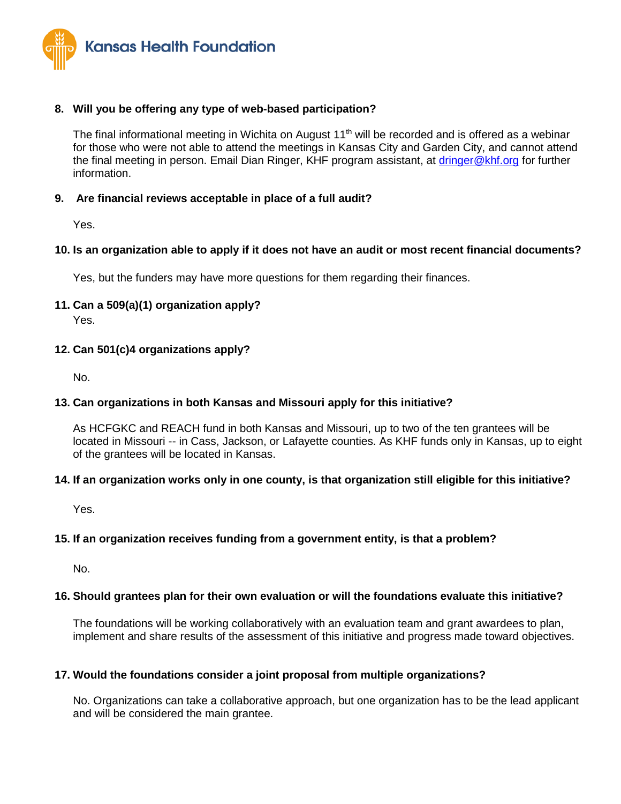

# **8. Will you be offering any type of web-based participation?**

The final informational meeting in Wichita on August  $11<sup>th</sup>$  will be recorded and is offered as a webinar for those who were not able to attend the meetings in Kansas City and Garden City, and cannot attend the final meeting in person. Email Dian Ringer, KHF program assistant, at *dringer@khf.org* for further information.

#### **9. Are financial reviews acceptable in place of a full audit?**

Yes.

### **10. Is an organization able to apply if it does not have an audit or most recent financial documents?**

Yes, but the funders may have more questions for them regarding their finances.

**11. Can a 509(a)(1) organization apply?**

Yes.

### **12. Can 501(c)4 organizations apply?**

No.

#### **13. Can organizations in both Kansas and Missouri apply for this initiative?**

As HCFGKC and REACH fund in both Kansas and Missouri, up to two of the ten grantees will be located in Missouri -- in Cass, Jackson, or Lafayette counties. As KHF funds only in Kansas, up to eight of the grantees will be located in Kansas.

#### **14. If an organization works only in one county, is that organization still eligible for this initiative?**

Yes.

#### **15. If an organization receives funding from a government entity, is that a problem?**

No.

#### **16. Should grantees plan for their own evaluation or will the foundations evaluate this initiative?**

The foundations will be working collaboratively with an evaluation team and grant awardees to plan, implement and share results of the assessment of this initiative and progress made toward objectives.

#### **17. Would the foundations consider a joint proposal from multiple organizations?**

No. Organizations can take a collaborative approach, but one organization has to be the lead applicant and will be considered the main grantee.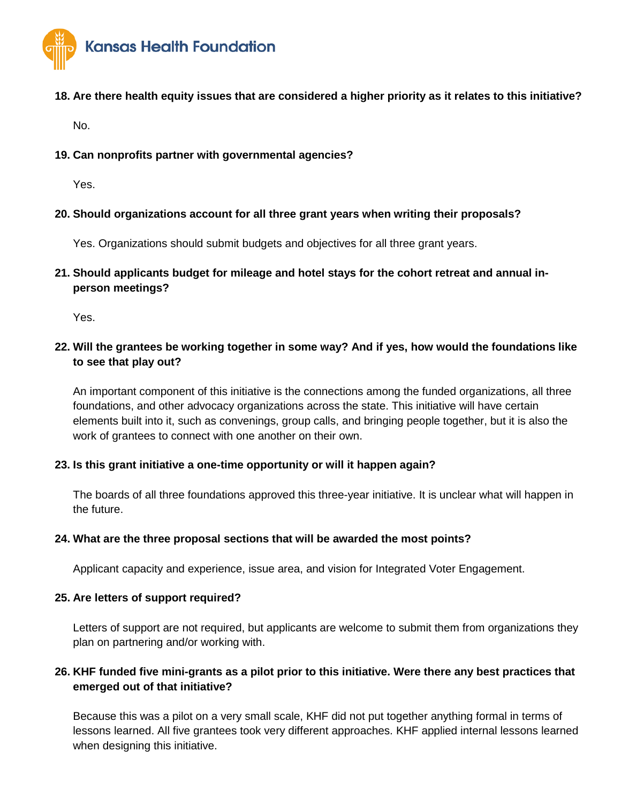

# **18. Are there health equity issues that are considered a higher priority as it relates to this initiative?**

No.

# **19. Can nonprofits partner with governmental agencies?**

Yes.

# **20. Should organizations account for all three grant years when writing their proposals?**

Yes. Organizations should submit budgets and objectives for all three grant years.

**21. Should applicants budget for mileage and hotel stays for the cohort retreat and annual inperson meetings?**

Yes.

# **22. Will the grantees be working together in some way? And if yes, how would the foundations like to see that play out?**

An important component of this initiative is the connections among the funded organizations, all three foundations, and other advocacy organizations across the state. This initiative will have certain elements built into it, such as convenings, group calls, and bringing people together, but it is also the work of grantees to connect with one another on their own.

# **23. Is this grant initiative a one-time opportunity or will it happen again?**

The boards of all three foundations approved this three-year initiative. It is unclear what will happen in the future.

# **24. What are the three proposal sections that will be awarded the most points?**

Applicant capacity and experience, issue area, and vision for Integrated Voter Engagement.

# **25. Are letters of support required?**

Letters of support are not required, but applicants are welcome to submit them from organizations they plan on partnering and/or working with.

# **26. KHF funded five mini-grants as a pilot prior to this initiative. Were there any best practices that emerged out of that initiative?**

Because this was a pilot on a very small scale, KHF did not put together anything formal in terms of lessons learned. All five grantees took very different approaches. KHF applied internal lessons learned when designing this initiative.